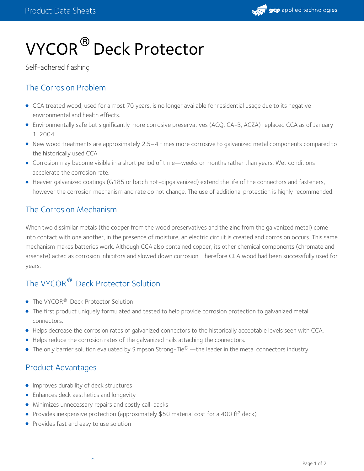

# VYCOR  $^\circledR$  Deck Protector

Self-adhered flashing

### The Corrosion Problem

- CCA treated wood, used for almost 70 years, is no longer available for residential usage due to its negative environmental and health effects.
- Environmentally safe but significantly more corrosive preservatives (ACQ, CA-B, ACZA) replaced CCA as of January 1, 2004.
- New wood treatments are approximately 2.5–4 times more corrosive to galvanized metal components compared to the historically used CCA.
- Corrosion may become visible in a short period of time—weeks or months rather than years. Wet conditions accelerate the corrosion rate.
- Heavier galvanized coatings (G185 or batch hot-dipgalvanized) extend the life of the connectors and fasteners, however the corrosion mechanism and rate do not change. The use of additional protection is highly recommended.

#### The Corrosion Mechanism

When two dissimilar metals (the copper from the wood preservatives and the zinc from the galvanized metal) come into contact with one another, in the presence of moisture, an electric circuit is created and corrosion occurs. This same mechanism makes batteries work. Although CCA also contained copper, its other chemical components (chromate and arsenate) acted as corrosion inhibitors and slowed down corrosion. Therefore CCA wood had been successfully used for years.

## The VYCOR<sup>®</sup> Deck Protector Solution

- The VYCOR<sup>®</sup> Deck Protector Solution
- The first product uniquely formulated and tested to help provide corrosion protection to galvanized metal connectors.
- Helps decrease the corrosion rates of galvanized connectors to the historically acceptable levels seen with CCA.
- Helps reduce the corrosion rates of the galvanized nails attaching the connectors.
- $\bullet$  The only barrier solution evaluated by Simpson Strong-Tie $^\circledR$  —the leader in the metal connectors industry.

#### Product Advantages

- **Improves durability of deck structures**
- **•** Enhances deck aesthetics and longevity
- Minimizes unnecessary repairs and costly call-backs

® en la

- Provides inexpensive protection (approximately \$50 material cost for a 400 ft<sup>2</sup> deck)
- Provides fast and easy to use solution